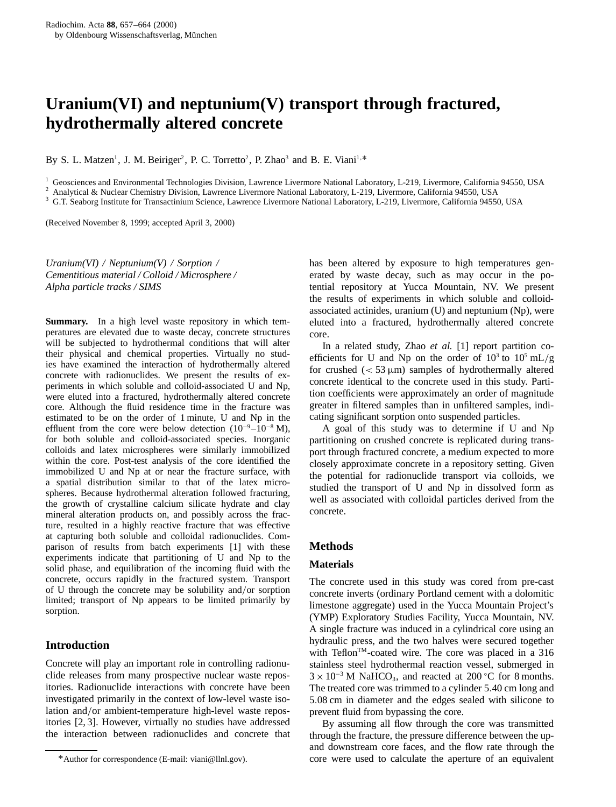# **Uranium(VI) and neptunium(V) transport through fractured, hydrothermally altered concrete**

By S. L. Matzen<sup>1</sup>, J. M. Beiriger<sup>2</sup>, P. C. Torretto<sup>2</sup>, P. Zhao<sup>3</sup> and B. E. Viani<sup>1,\*</sup>

<sup>1</sup> Geosciences and Environmental Technologies Division, Lawrence Livermore National Laboratory, L-219, Livermore, California 94550, USA  $^2$  Analytical & Nuclear Chemistry Division, Lawrence Livermore National Laboratory

(Received November 8, 1999; accepted April 3, 2000)

*Uranium(VI) / Neptunium(V) / Sorption / Cementitious material / Colloid / Microsphere / Alpha particle tracks / SIMS*

**Summary.** In a high level waste repository in which temperatures are elevated due to waste decay, concrete structures will be subjected to hydrothermal conditions that will alter their physical and chemical properties. Virtually no studies have examined the interaction of hydrothermally altered concrete with radionuclides. We present the results of experiments in which soluble and colloid-associated U and Np, were eluted into a fractured, hydrothermally altered concrete core. Although the fluid residence time in the fracture was estimated to be on the order of 1 minute, U and Np in the effluent from the core were below detection  $(10^{-9}-10^{-8} M)$ , for both soluble and colloid-associated species. Inorganic colloids and latex microspheres were similarly immobilized within the core. Post-test analysis of the core identified the immobilized U and Np at or near the fracture surface, with a spatial distribution similar to that of the latex microspheres. Because hydrothermal alteration followed fracturing, the growth of crystalline calcium silicate hydrate and clay mineral alteration products on, and possibly across the fracture, resulted in a highly reactive fracture that was effective at capturing both soluble and colloidal radionuclides. Comparison of results from batch experiments [1] with these experiments indicate that partitioning of U and Np to the solid phase, and equilibration of the incoming fluid with the concrete, occurs rapidly in the fractured system. Transport of U through the concrete may be solubility and/or sorption limited; transport of Np appears to be limited primarily by sorption.

# **Introduction**

Concrete will play an important role in controlling radionuclide releases from many prospective nuclear waste repositories. Radionuclide interactions with concrete have been investigated primarily in the context of low-level waste isolation and/or ambient-temperature high-level waste repositories [2, 3]. However, virtually no studies have addressed the interaction between radionuclides and concrete that has been altered by exposure to high temperatures generated by waste decay, such as may occur in the potential repository at Yucca Mountain, NV. We present the results of experiments in which soluble and colloidassociated actinides, uranium (U) and neptunium (Np), were eluted into a fractured, hydrothermally altered concrete core.

In a related study, Zhao *et al.* [1] report partition coefficients for U and Np on the order of  $10^3$  to  $10^5$  mL/g for crushed  $(< 53 \mu m)$  samples of hydrothermally altered concrete identical to the concrete used in this study. Partition coefficients were approximately an order of magnitude greater in filtered samples than in unfiltered samples, indicating significant sorption onto suspended particles.

A goal of this study was to determine if U and Np partitioning on crushed concrete is replicated during transport through fractured concrete, a medium expected to more closely approximate concrete in a repository setting. Given the potential for radionuclide transport via colloids, we studied the transport of U and Np in dissolved form as well as associated with colloidal particles derived from the concrete.

# **Methods**

# **Materials**

The concrete used in this study was cored from pre-cast concrete inverts (ordinary Portland cement with a dolomitic limestone aggregate) used in the Yucca Mountain Project's (YMP) Exploratory Studies Facility, Yucca Mountain, NV. A single fracture was induced in a cylindrical core using an hydraulic press, and the two halves were secured together with Teflon<sup>™</sup>-coated wire. The core was placed in a 316 stainless steel hydrothermal reaction vessel, submerged in  $3 \times 10^{-3}$  M NaHCO<sub>3</sub>, and reacted at 200 °C for 8 months. The treated core was trimmed to a cylinder 5.40 cm long and 5.08 cm in diameter and the edges sealed with silicone to prevent fluid from bypassing the core.

By assuming all flow through the core was transmitted through the fracture, the pressure difference between the upand downstream core faces, and the flow rate through the core were used to calculate the aperture of an equivalent

<sup>\*</sup>Author for correspondence (E-mail: viani@llnl.gov).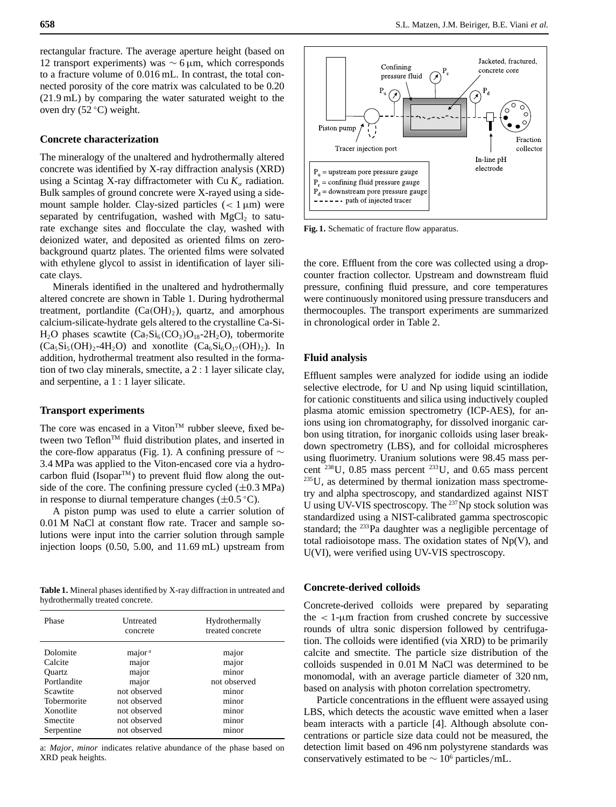rectangular fracture. The average aperture height (based on 12 transport experiments) was ∼ 6 µm, which corresponds to a fracture volume of 0.016 mL. In contrast, the total connected porosity of the core matrix was calculated to be 0.20 (21.9 mL) by comparing the water saturated weight to the oven dry (52 ◦ C) weight.

#### **Concrete characterization**

The mineralogy of the unaltered and hydrothermally altered concrete was identified by X-ray diffraction analysis (XRD) using a Scintag X-ray diffractometer with Cu  $K_{\alpha}$  radiation. Bulk samples of ground concrete were X-rayed using a sidemount sample holder. Clay-sized particles  $(< 1 \mu m)$  were separated by centrifugation, washed with  $MgCl<sub>2</sub>$  to saturate exchange sites and flocculate the clay, washed with deionized water, and deposited as oriented films on zerobackground quartz plates. The oriented films were solvated with ethylene glycol to assist in identification of layer silicate clays.

Minerals identified in the unaltered and hydrothermally altered concrete are shown in Table 1. During hydrothermal treatment, portlandite  $(Ca(OH)_2)$ , quartz, and amorphous calcium-silicate-hydrate gels altered to the crystalline Ca-Si- $H_2O$  phases scawtite  $(Ca_7Si_6(CO_3)O_{18}-2H_2O)$ , tobermorite  $(Ca_5Si_5(OH)_2-4H_2O)$  and xonotlite  $(Ca_6Si_6O_{17}(OH)_2)$ . In addition, hydrothermal treatment also resulted in the formation of two clay minerals, smectite, a 2 : 1 layer silicate clay, and serpentine, a 1 : 1 layer silicate.

#### **Transport experiments**

The core was encased in a Viton<sup>TM</sup> rubber sleeve, fixed between two Teflon<sup>TM</sup> fluid distribution plates, and inserted in the core-flow apparatus (Fig. 1). A confining pressure of  $\sim$ 3.4 MPa was applied to the Viton-encased core via a hydrocarbon fluid (Isopar<sup>TM</sup>) to prevent fluid flow along the outside of the core. The confining pressure cycled  $(\pm 0.3 \text{ MPa})$ in response to diurnal temperature changes  $(\pm 0.5 \degree C)$ .

A piston pump was used to elute a carrier solution of 0.01 M NaCl at constant flow rate. Tracer and sample solutions were input into the carrier solution through sample injection loops (0.50, 5.00, and 11.69 mL) upstream from

**Table 1.** Mineral phases identified by X-ray diffraction in untreated and hydrothermally treated concrete.

| Phase       | Untreated<br>concrete | Hydrothermally<br>treated concrete |
|-------------|-----------------------|------------------------------------|
| Dolomite    | major <sup>a</sup>    | major                              |
| Calcite     | major                 | major                              |
| Ouartz      | major                 | minor                              |
| Portlandite | major                 | not observed                       |
| Scawtite    | not observed          | minor                              |
| Tobermorite | not observed          | minor                              |
| Xonotlite   | not observed          | minor                              |
| Smectite    | not observed          | minor                              |
| Serpentine  | not observed          | minor                              |

a: *Major*, *minor* indicates relative abundance of the phase based on XRD peak heights.



**Fig. 1.** Schematic of fracture flow apparatus.

the core. Effluent from the core was collected using a dropcounter fraction collector. Upstream and downstream fluid pressure, confining fluid pressure, and core temperatures were continuously monitored using pressure transducers and thermocouples. The transport experiments are summarized in chronological order in Table 2.

### **Fluid analysis**

Effluent samples were analyzed for iodide using an iodide selective electrode, for U and Np using liquid scintillation, for cationic constituents and silica using inductively coupled plasma atomic emission spectrometry (ICP-AES), for anions using ion chromatography, for dissolved inorganic carbon using titration, for inorganic colloids using laser breakdown spectrometry (LBS), and for colloidal microspheres using fluorimetry. Uranium solutions were 98.45 mass percent  $^{238}$ U, 0.85 mass percent  $^{233}$ U, and 0.65 mass percent 235U, as determined by thermal ionization mass spectrometry and alpha spectroscopy, and standardized against NIST U using UV-VIS spectroscopy. The 237Np stock solution was standardized using a NIST-calibrated gamma spectroscopic standard; the <sup>233</sup>Pa daughter was a negligible percentage of total radioisotope mass. The oxidation states of  $Np(V)$ , and U(VI), were verified using UV-VIS spectroscopy.

# **Concrete-derived colloids**

Concrete-derived colloids were prepared by separating the  $\langle 1-\mu m \rangle$  fraction from crushed concrete by successive rounds of ultra sonic dispersion followed by centrifugation. The colloids were identified (via XRD) to be primarily calcite and smectite. The particle size distribution of the colloids suspended in 0.01 M NaCl was determined to be monomodal, with an average particle diameter of 320 nm, based on analysis with photon correlation spectrometry.

Particle concentrations in the effluent were assayed using LBS, which detects the acoustic wave emitted when a laser beam interacts with a particle [4]. Although absolute concentrations or particle size data could not be measured, the detection limit based on 496 nm polystyrene standards was conservatively estimated to be  $\sim 10^6$  particles/mL.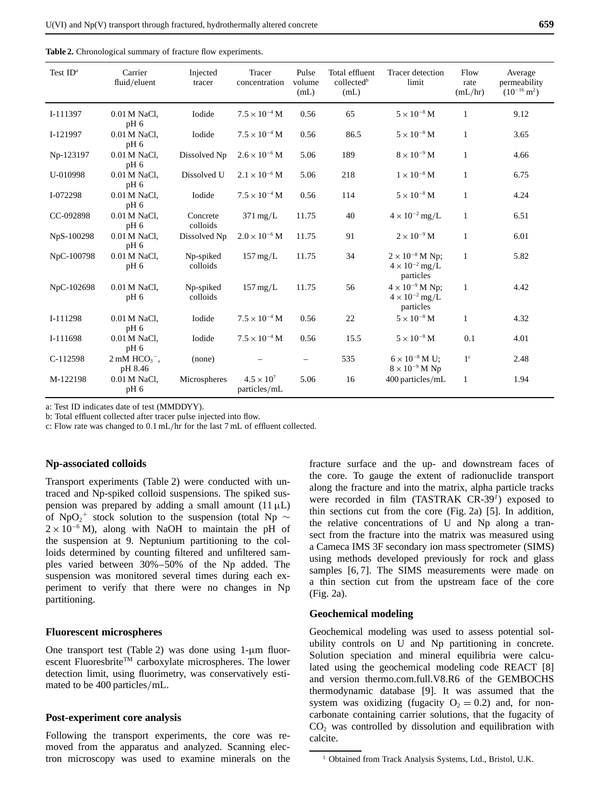|  | <b>Table 2.</b> Chronological summary of fracture flow experiments. |  |
|--|---------------------------------------------------------------------|--|
|--|---------------------------------------------------------------------|--|

| Test $IDa$ | Carrier<br>fluid/eluent           | Injected<br>tracer    | Tracer<br>concentration             | Pulse<br>volume<br>(mL) | Total effluent<br>collected <sup>b</sup><br>(mL) | Tracer detection<br>limit                                        | Flow<br>rate<br>(mL/hr) | Average<br>permeability<br>$(10^{-16} \text{ m}^2)$ |
|------------|-----------------------------------|-----------------------|-------------------------------------|-------------------------|--------------------------------------------------|------------------------------------------------------------------|-------------------------|-----------------------------------------------------|
| I-111397   | 0.01 M NaCl,<br>pH 6              | Iodide                | $7.5 \times 10^{-4}$ M              | 0.56                    | 65                                               | $5\times10^{-8}$ M                                               | $\mathbf{1}$            | 9.12                                                |
| I-121997   | 0.01 M NaCl,<br>pH 6              | Iodide                | $7.5 \times 10^{-4}$ M              | 0.56                    | 86.5                                             | $5 \times 10^{-8}$ M                                             | $\mathbf{1}$            | 3.65                                                |
| Np-123197  | 0.01 M NaCl,<br>pH 6              | Dissolved Np          | $2.6 \times 10^{-6}$ M              | 5.06                    | 189                                              | $8 \times 10^{-9}$ M                                             | $\mathbf{1}$            | 4.66                                                |
| U-010998   | 0.01 M NaCl,<br>$pH_6$            | Dissolved U           | $2.1 \times 10^{-6}$ M              | 5.06                    | 218                                              | $1 \times 10^{-8}$ M                                             | $\mathbf{1}$            | 6.75                                                |
| I-072298   | 0.01 M NaCl,<br>pH <sub>6</sub>   | Iodide                | $7.5 \times 10^{-4}$ M              | 0.56                    | 114                                              | $5 \times 10^{-8}$ M                                             | $\mathbf{1}$            | 4.24                                                |
| CC-092898  | 0.01 M NaCl,<br>pH 6              | Concrete<br>colloids  | $371 \text{ mg/L}$                  | 11.75                   | 40                                               | $4 \times 10^{-2}$ mg/L                                          | 1                       | 6.51                                                |
| NpS-100298 | 0.01 M NaCl,<br>pH <sub>6</sub>   | Dissolved Np          | $2.0 \times 10^{-6}$ M              | 11.75                   | 91                                               | $2 \times 10^{-9}$ M                                             | $\mathbf{1}$            | 6.01                                                |
| NpC-100798 | 0.01 M NaCl,<br>pH 6              | Np-spiked<br>colloids | $157 \,\mathrm{mg/L}$               | 11.75                   | 34                                               | $2 \times 10^{-8}$ M Np;<br>$4 \times 10^{-2}$ mg/L<br>particles | $\mathbf{1}$            | 5.82                                                |
| NpC-102698 | 0.01 M NaCl,<br>pH <sub>6</sub>   | Np-spiked<br>colloids | $157 \,\mathrm{mg/L}$               | 11.75                   | 56                                               | $4 \times 10^{-9}$ M Np;<br>$4 \times 10^{-2}$ mg/L<br>particles | 1                       | 4.42                                                |
| I-111298   | 0.01 M NaCl,<br>pH 6              | Iodide                | $7.5 \times 10^{-4}$ M              | 0.56                    | 22                                               | $5 \times 10^{-8}$ M                                             | $\mathbf{1}$            | 4.32                                                |
| I-111698   | 0.01 M NaCl,<br>pH 6              | Iodide                | $7.5 \times 10^{-4}$ M              | 0.56                    | 15.5                                             | $5\times10^{-8}\,\mathrm{M}$                                     | 0.1                     | 4.01                                                |
| C-112598   | $2 \text{ mM HCO}_3$ ,<br>pH 8.46 | (none)                |                                     |                         | 535                                              | $6 \times 10^{-8}$ M U;<br>$8 \times 10^{-9}$ M Np               | 1 <sup>c</sup>          | 2.48                                                |
| M-122198   | 0.01 M NaCl,<br>pH <sub>6</sub>   | Microspheres          | $4.5 \times 10^{7}$<br>particles/mL | 5.06                    | 16                                               | 400 particles/mL                                                 | 1                       | 1.94                                                |

a: Test ID indicates date of test (MMDDYY).

b: Total effluent collected after tracer pulse injected into flow.

c: Flow rate was changed to 0.1 mL/hr for the last 7 mL of effluent collected.

#### **Np-associated colloids**

Transport experiments (Table 2) were conducted with untraced and Np-spiked colloid suspensions. The spiked suspension was prepared by adding a small amount  $(11 \mu L)$ of NpO<sub>2</sub><sup>+</sup> stock solution to the suspension (total Np  $\sim$  $2 \times 10^{-6}$  M), along with NaOH to maintain the pH of the suspension at 9. Neptunium partitioning to the colloids determined by counting filtered and unfiltered samples varied between 30%–50% of the Np added. The suspension was monitored several times during each experiment to verify that there were no changes in Np partitioning.

# **Fluorescent microspheres**

One transport test (Table 2) was done using  $1-\mu m$  fluorescent Fluoresbrite™ carboxylate microspheres. The lower detection limit, using fluorimetry, was conservatively estimated to be 400 particles/mL.

## **Post-experiment core analysis**

Following the transport experiments, the core was removed from the apparatus and analyzed. Scanning electron microscopy was used to examine minerals on the fracture surface and the up- and downstream faces of the core. To gauge the extent of radionuclide transport along the fracture and into the matrix, alpha particle tracks were recorded in film (TASTRAK CR-39*<sup>1</sup>*) exposed to thin sections cut from the core (Fig. 2a) [5]. In addition, the relative concentrations of U and Np along a transect from the fracture into the matrix was measured using a Cameca IMS 3F secondary ion mass spectrometer (SIMS) using methods developed previously for rock and glass samples [6,7]. The SIMS measurements were made on a thin section cut from the upstream face of the core (Fig. 2a).

# **Geochemical modeling**

Geochemical modeling was used to assess potential solubility controls on U and Np partitioning in concrete. Solution speciation and mineral equilibria were calculated using the geochemical modeling code REACT [8] and version thermo.com.full.V8.R6 of the GEMBOCHS thermodynamic database [9]. It was assumed that the system was oxidizing (fugacity  $O_2 = 0.2$ ) and, for noncarbonate containing carrier solutions, that the fugacity of CO<sub>2</sub> was controlled by dissolution and equilibration with calcite.

<sup>&</sup>lt;sup>1</sup> Obtained from Track Analysis Systems, Ltd., Bristol, U.K.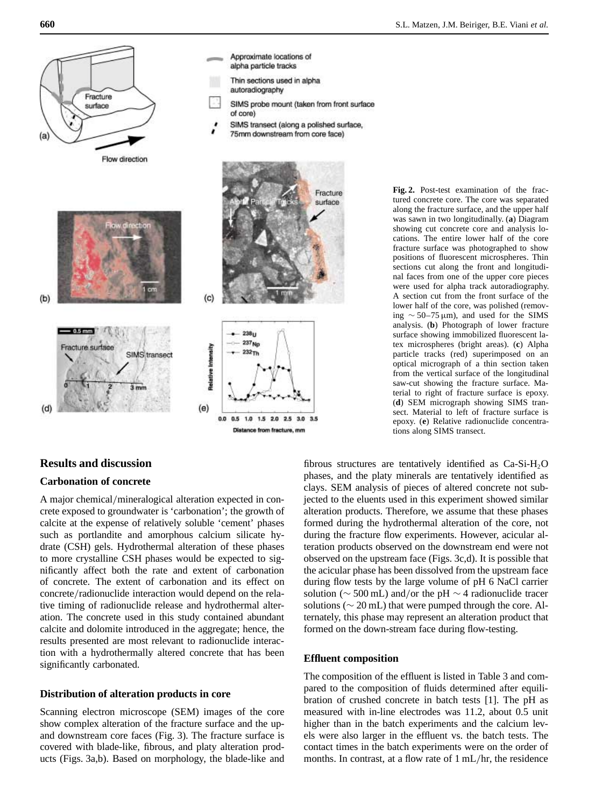

# **Results and discussion**

# **Carbonation of concrete**

A major chemical/mineralogical alteration expected in concrete exposed to groundwater is 'carbonation'; the growth of calcite at the expense of relatively soluble 'cement' phases such as portlandite and amorphous calcium silicate hydrate (CSH) gels. Hydrothermal alteration of these phases to more crystalline CSH phases would be expected to significantly affect both the rate and extent of carbonation of concrete. The extent of carbonation and its effect on concrete/radionuclide interaction would depend on the relative timing of radionuclide release and hydrothermal alteration. The concrete used in this study contained abundant calcite and dolomite introduced in the aggregate; hence, the results presented are most relevant to radionuclide interaction with a hydrothermally altered concrete that has been significantly carbonated.

# **Distribution of alteration products in core**

Scanning electron microscope (SEM) images of the core show complex alteration of the fracture surface and the upand downstream core faces (Fig. 3). The fracture surface is covered with blade-like, fibrous, and platy alteration products (Figs. 3a,b). Based on morphology, the blade-like and **Fig. 2.** Post-test examination of the fractured concrete core. The core was separated along the fracture surface, and the upper half was sawn in two longitudinally. (**a**) Diagram showing cut concrete core and analysis locations. The entire lower half of the core fracture surface was photographed to show positions of fluorescent microspheres. Thin sections cut along the front and longitudinal faces from one of the upper core pieces were used for alpha track autoradiography. A section cut from the front surface of the lower half of the core, was polished (removing ∼ 50–75 µm), and used for the SIMS analysis. (**b**) Photograph of lower fracture surface showing immobilized fluorescent latex microspheres (bright areas). (**c**) Alpha particle tracks (red) superimposed on an optical micrograph of a thin section taken from the vertical surface of the longitudinal saw-cut showing the fracture surface. Material to right of fracture surface is epoxy. (**d**) SEM micrograph showing SIMS transect. Material to left of fracture surface is epoxy. (**e**) Relative radionuclide concentrations along SIMS transect.

fibrous structures are tentatively identified as  $Ca-Si-H<sub>2</sub>O$ phases, and the platy minerals are tentatively identified as clays. SEM analysis of pieces of altered concrete not subjected to the eluents used in this experiment showed similar alteration products. Therefore, we assume that these phases formed during the hydrothermal alteration of the core, not during the fracture flow experiments. However, acicular alteration products observed on the downstream end were not observed on the upstream face (Figs. 3c,d). It is possible that the acicular phase has been dissolved from the upstream face during flow tests by the large volume of pH 6 NaCl carrier solution ( $\sim$  500 mL) and/or the pH  $\sim$  4 radionuclide tracer solutions ( $\sim$  20 mL) that were pumped through the core. Alternately, this phase may represent an alteration product that formed on the down-stream face during flow-testing.

# **Effluent composition**

The composition of the effluent is listed in Table 3 and compared to the composition of fluids determined after equilibration of crushed concrete in batch tests [1]. The pH as measured with in-line electrodes was 11.2, about 0.5 unit higher than in the batch experiments and the calcium levels were also larger in the effluent vs. the batch tests. The contact times in the batch experiments were on the order of months. In contrast, at a flow rate of 1 mL/hr, the residence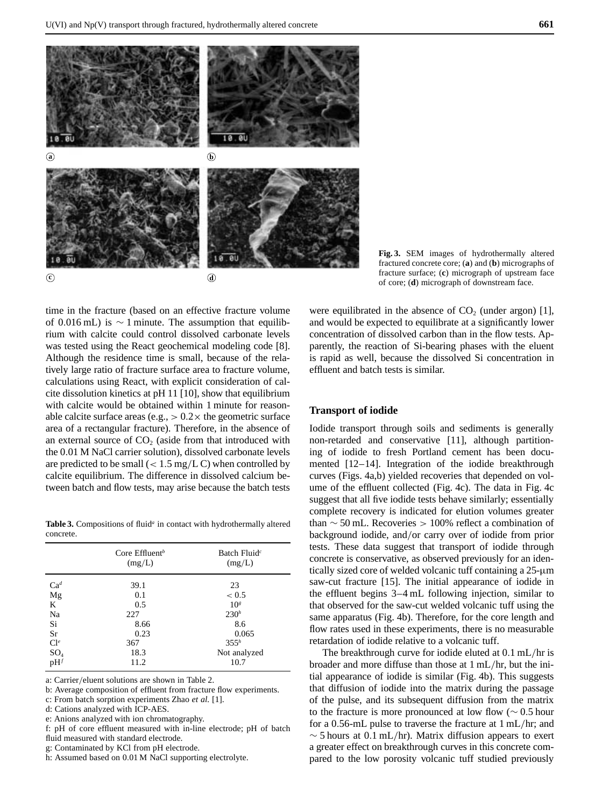

**Fig. 3.** SEM images of hydrothermally altered fractured concrete core; (**a**) and (**b**) micrographs of fracture surface; (**c**) micrograph of upstream face of core; (**d**) micrograph of downstream face.

time in the fracture (based on an effective fracture volume of 0.016 mL) is  $\sim$  1 minute. The assumption that equilibrium with calcite could control dissolved carbonate levels was tested using the React geochemical modeling code [8]. Although the residence time is small, because of the relatively large ratio of fracture surface area to fracture volume, calculations using React, with explicit consideration of calcite dissolution kinetics at pH 11 [10], show that equilibrium with calcite would be obtained within 1 minute for reasonable calcite surface areas (e.g.,  $> 0.2 \times$  the geometric surface area of a rectangular fracture). Therefore, in the absence of an external source of  $CO<sub>2</sub>$  (aside from that introduced with the 0.01 M NaCl carrier solution), dissolved carbonate levels are predicted to be small  $(< 1.5 \text{ mg/L C})$  when controlled by calcite equilibrium. The difference in dissolved calcium between batch and flow tests, may arise because the batch tests

Table 3. Compositions of fluid<sup>*a*</sup> in contact with hydrothermally altered concrete.

|             | Core $Effluentb$<br>(mg/L) | Batch Fluid <sup><math>c</math></sup><br>(mg/L) |
|-------------|----------------------------|-------------------------------------------------|
| $Ca^{d}$    | 39.1                       | 23                                              |
| $_{\rm Mg}$ | 0.1                        | < 0.5                                           |
| K           | 0.5                        | 10 <sup>s</sup>                                 |
| Na          | 227                        | 230 <sup>h</sup>                                |
| Si          | 8.66                       | 8.6                                             |
| <b>Sr</b>   | 0.23                       | 0.065                                           |
| $Cl^e$      | 367                        | $355^h$                                         |
| $SO_4$      | 18.3                       | Not analyzed                                    |
| $pH^f$      | 11.2                       | 10.7                                            |

a: Carrier/eluent solutions are shown in Table 2.

b: Average composition of effluent from fracture flow experiments.

c: From batch sorption experiments Zhao *et al.* [1].

d: Cations analyzed with ICP-AES.

e: Anions analyzed with ion chromatography.

f: pH of core effluent measured with in-line electrode; pH of batch fluid measured with standard electrode.

g: Contaminated by KCl from pH electrode.

h: Assumed based on 0.01 M NaCl supporting electrolyte.

were equilibrated in the absence of  $CO<sub>2</sub>$  (under argon) [1], and would be expected to equilibrate at a significantly lower concentration of dissolved carbon than in the flow tests. Apparently, the reaction of Si-bearing phases with the eluent is rapid as well, because the dissolved Si concentration in effluent and batch tests is similar.

## **Transport of iodide**

Iodide transport through soils and sediments is generally non-retarded and conservative [11], although partitioning of iodide to fresh Portland cement has been documented [12–14]. Integration of the iodide breakthrough curves (Figs. 4a,b) yielded recoveries that depended on volume of the effluent collected (Fig. 4c). The data in Fig. 4c suggest that all five iodide tests behave similarly; essentially complete recovery is indicated for elution volumes greater than  $\sim$  50 mL. Recoveries > 100% reflect a combination of background iodide, and/or carry over of iodide from prior tests. These data suggest that transport of iodide through concrete is conservative, as observed previously for an identically sized core of welded volcanic tuff containing a 25-µm saw-cut fracture [15]. The initial appearance of iodide in the effluent begins 3–4 mL following injection, similar to that observed for the saw-cut welded volcanic tuff using the same apparatus (Fig. 4b). Therefore, for the core length and flow rates used in these experiments, there is no measurable retardation of iodide relative to a volcanic tuff.

The breakthrough curve for iodide eluted at 0.1 mL/hr is broader and more diffuse than those at 1 mL/hr, but the initial appearance of iodide is similar (Fig. 4b). This suggests that diffusion of iodide into the matrix during the passage of the pulse, and its subsequent diffusion from the matrix to the fracture is more pronounced at low flow ( $\sim 0.5$  hour for a 0.56-mL pulse to traverse the fracture at 1 mL/hr; and  $\sim$  5 hours at 0.1 mL/hr). Matrix diffusion appears to exert a greater effect on breakthrough curves in this concrete compared to the low porosity volcanic tuff studied previously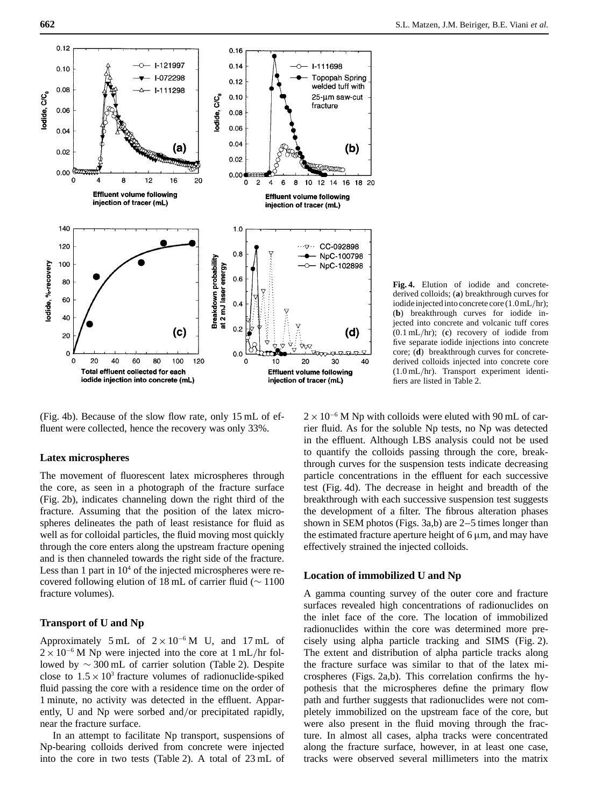

(Fig. 4b). Because of the slow flow rate, only 15 mL of effluent were collected, hence the recovery was only 33%.

# **Latex microspheres**

The movement of fluorescent latex microspheres through the core, as seen in a photograph of the fracture surface (Fig. 2b), indicates channeling down the right third of the fracture. Assuming that the position of the latex microspheres delineates the path of least resistance for fluid as well as for colloidal particles, the fluid moving most quickly through the core enters along the upstream fracture opening and is then channeled towards the right side of the fracture. Less than 1 part in  $10<sup>4</sup>$  of the injected microspheres were recovered following elution of 18 mL of carrier fluid (∼ 1100 fracture volumes).

# **Transport of U and Np**

Approximately 5 mL of  $2 \times 10^{-6}$  M U, and 17 mL of  $2 \times 10^{-6}$  M Np were injected into the core at 1 mL/hr followed by ∼ 300 mL of carrier solution (Table 2). Despite close to  $1.5 \times 10^3$  fracture volumes of radionuclide-spiked fluid passing the core with a residence time on the order of 1 minute, no activity was detected in the effluent. Apparently, U and Np were sorbed and/or precipitated rapidly, near the fracture surface.

In an attempt to facilitate Np transport, suspensions of Np-bearing colloids derived from concrete were injected into the core in two tests (Table 2). A total of 23 mL of



 $2 \times 10^{-6}$  M Np with colloids were eluted with 90 mL of carrier fluid. As for the soluble Np tests, no Np was detected in the effluent. Although LBS analysis could not be used to quantify the colloids passing through the core, breakthrough curves for the suspension tests indicate decreasing particle concentrations in the effluent for each successive test (Fig. 4d). The decrease in height and breadth of the breakthrough with each successive suspension test suggests the development of a filter. The fibrous alteration phases shown in SEM photos (Figs. 3a,b) are 2–5 times longer than the estimated fracture aperture height of  $6 \mu m$ , and may have effectively strained the injected colloids.

# **Location of immobilized U and Np**

A gamma counting survey of the outer core and fracture surfaces revealed high concentrations of radionuclides on the inlet face of the core. The location of immobilized radionuclides within the core was determined more precisely using alpha particle tracking and SIMS (Fig. 2). The extent and distribution of alpha particle tracks along the fracture surface was similar to that of the latex microspheres (Figs. 2a,b). This correlation confirms the hypothesis that the microspheres define the primary flow path and further suggests that radionuclides were not completely immobilized on the upstream face of the core, but were also present in the fluid moving through the fracture. In almost all cases, alpha tracks were concentrated along the fracture surface, however, in at least one case, tracks were observed several millimeters into the matrix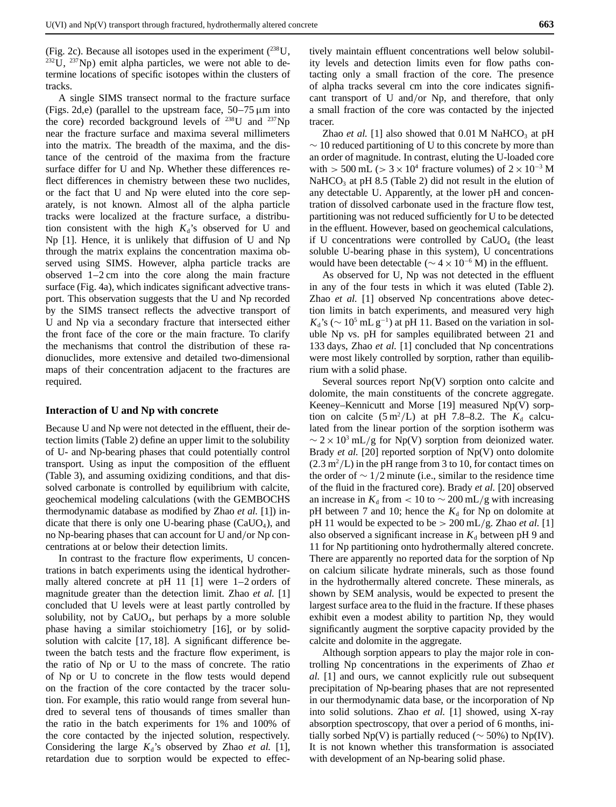A single SIMS transect normal to the fracture surface (Figs. 2d,e) (parallel to the upstream face,  $50-75 \mu m$  into the core) recorded background levels of  $^{238}$ U and  $^{237}$ Np near the fracture surface and maxima several millimeters into the matrix. The breadth of the maxima, and the distance of the centroid of the maxima from the fracture surface differ for U and Np. Whether these differences reflect differences in chemistry between these two nuclides, or the fact that U and Np were eluted into the core separately, is not known. Almost all of the alpha particle tracks were localized at the fracture surface, a distribution consistent with the high  $K_d$ 's observed for U and Np [1]. Hence, it is unlikely that diffusion of U and Np through the matrix explains the concentration maxima observed using SIMS. However, alpha particle tracks are observed 1–2 cm into the core along the main fracture surface (Fig. 4a), which indicates significant advective transport. This observation suggests that the U and Np recorded by the SIMS transect reflects the advective transport of U and Np via a secondary fracture that intersected either the front face of the core or the main fracture. To clarify the mechanisms that control the distribution of these radionuclides, more extensive and detailed two-dimensional maps of their concentration adjacent to the fractures are required.

#### **Interaction of U and Np with concrete**

Because U and Np were not detected in the effluent, their detection limits (Table 2) define an upper limit to the solubility of U- and Np-bearing phases that could potentially control transport. Using as input the composition of the effluent (Table 3), and assuming oxidizing conditions, and that dissolved carbonate is controlled by equilibrium with calcite, geochemical modeling calculations (with the GEMBOCHS thermodynamic database as modified by Zhao *et al.* [1]) indicate that there is only one U-bearing phase  $(CaUO<sub>4</sub>)$ , and no Np-bearing phases that can account for U and/or Np concentrations at or below their detection limits.

In contrast to the fracture flow experiments, U concentrations in batch experiments using the identical hydrothermally altered concrete at pH 11 [1] were 1–2 orders of magnitude greater than the detection limit. Zhao *et al.* [1] concluded that U levels were at least partly controlled by solubility, not by  $CaUO<sub>4</sub>$ , but perhaps by a more soluble phase having a similar stoichiometry [16], or by solidsolution with calcite [17, 18]. A significant difference between the batch tests and the fracture flow experiment, is the ratio of Np or U to the mass of concrete. The ratio of Np or U to concrete in the flow tests would depend on the fraction of the core contacted by the tracer solution. For example, this ratio would range from several hundred to several tens of thousands of times smaller than the ratio in the batch experiments for 1% and 100% of the core contacted by the injected solution, respectively. Considering the large  $K_d$ 's observed by Zhao *et al.* [1], retardation due to sorption would be expected to effec-

tively maintain effluent concentrations well below solubility levels and detection limits even for flow paths contacting only a small fraction of the core. The presence of alpha tracks several cm into the core indicates significant transport of U and/or Np, and therefore, that only a small fraction of the core was contacted by the injected tracer.

Zhao *et al.* [1] also showed that  $0.01$  M NaHCO<sub>3</sub> at pH  $\sim$  10 reduced partitioning of U to this concrete by more than an order of magnitude. In contrast, eluting the U-loaded core with > 500 mL (> 3 × 10<sup>4</sup> fracture volumes) of  $2 \times 10^{-3}$  M NaHCO<sub>3</sub> at pH 8.5 (Table 2) did not result in the elution of any detectable U. Apparently, at the lower pH and concentration of dissolved carbonate used in the fracture flow test, partitioning was not reduced sufficiently for U to be detected in the effluent. However, based on geochemical calculations, if U concentrations were controlled by  $Ca<sub>4</sub>$  (the least soluble U-bearing phase in this system), U concentrations would have been detectable ( $\sim$  4  $\times$  10<sup>-6</sup> M) in the effluent.

As observed for U, Np was not detected in the effluent in any of the four tests in which it was eluted (Table 2). Zhao *et al.* [1] observed Np concentrations above detection limits in batch experiments, and measured very high  $K_d$ 's ( $\sim 10^5$  mL g<sup>-1</sup>) at pH 11. Based on the variation in soluble Np vs. pH for samples equilibrated between 21 and 133 days, Zhao *et al.* [1] concluded that Np concentrations were most likely controlled by sorption, rather than equilibrium with a solid phase.

Several sources report Np(V) sorption onto calcite and dolomite, the main constituents of the concrete aggregate. Keeney–Kennicutt and Morse [19] measured Np(V) sorption on calcite  $(5 \text{ m}^2/\text{L})$  at pH 7.8–8.2. The  $K_d$  calculated from the linear portion of the sorption isotherm was  $\sim$  2 × 10<sup>3</sup> mL/g for Np(V) sorption from deionized water. Brady *et al.* [20] reported sorption of Np(V) onto dolomite  $(2.3 \text{ m}^2/\text{L})$  in the pH range from 3 to 10, for contact times on the order of  $\sim$  1/2 minute (i.e., similar to the residence time of the fluid in the fractured core). Brady *et al.* [20] observed an increase in  $K_d$  from < 10 to  $\sim$  200 mL/g with increasing pH between 7 and 10; hence the  $K_d$  for Np on dolomite at pH 11 would be expected to be > 200 mL/g. Zhao *et al.* [1] also observed a significant increase in  $K_d$  between pH 9 and 11 for Np partitioning onto hydrothermally altered concrete. There are apparently no reported data for the sorption of Np on calcium silicate hydrate minerals, such as those found in the hydrothermally altered concrete. These minerals, as shown by SEM analysis, would be expected to present the largest surface area to the fluid in the fracture. If these phases exhibit even a modest ability to partition Np, they would significantly augment the sorptive capacity provided by the calcite and dolomite in the aggregate.

Although sorption appears to play the major role in controlling Np concentrations in the experiments of Zhao *et al.* [1] and ours, we cannot explicitly rule out subsequent precipitation of Np-bearing phases that are not represented in our thermodynamic data base, or the incorporation of Np into solid solutions. Zhao *et al.* [1] showed, using X-ray absorption spectroscopy, that over a period of 6 months, initially sorbed Np(V) is partially reduced ( $\sim$  50%) to Np(IV). It is not known whether this transformation is associated with development of an Np-bearing solid phase.